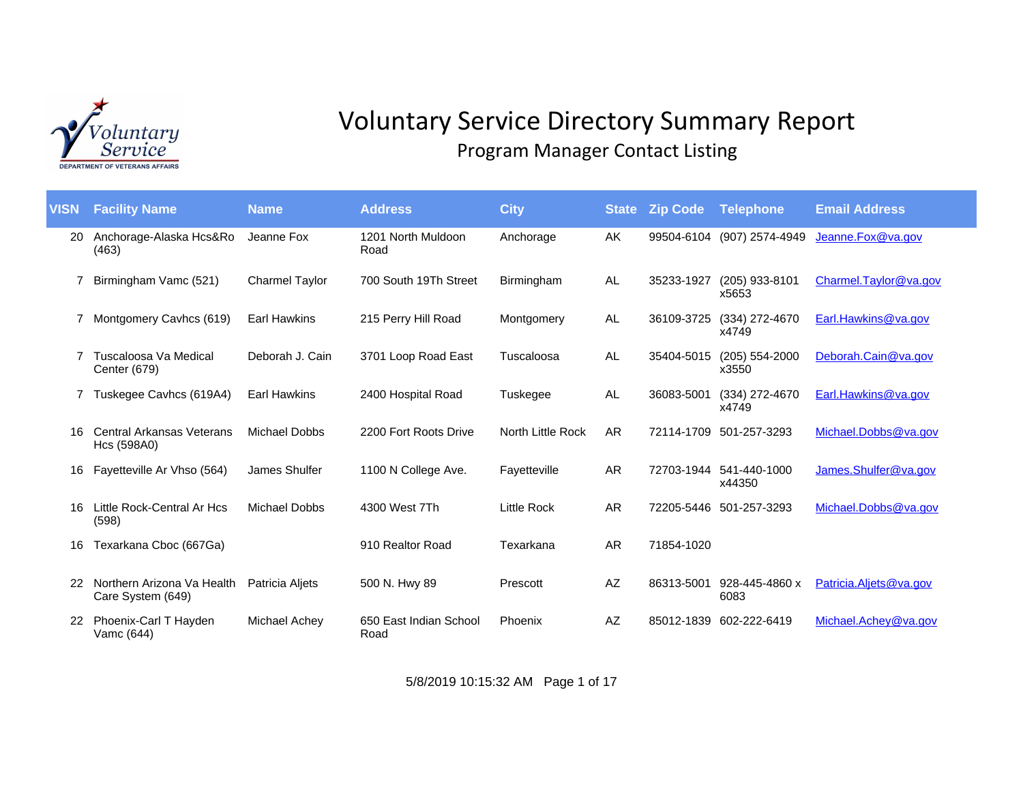

## Voluntary Service Directory Summary Report Program Manager Contact Listing

| <b>VISN</b> | <b>Facility Name</b>                            | <b>Name</b>           | <b>Address</b>                 | <b>City</b>        | <b>State</b> | <b>Zip Code</b> | <b>Telephone</b>          | <b>Email Address</b>   |
|-------------|-------------------------------------------------|-----------------------|--------------------------------|--------------------|--------------|-----------------|---------------------------|------------------------|
| 20          | Anchorage-Alaska Hcs&Ro<br>(463)                | Jeanne Fox            | 1201 North Muldoon<br>Road     | Anchorage          | AK           | 99504-6104      | (907) 2574-4949           | Jeanne.Fox@va.gov      |
|             | Birmingham Vamc (521)                           | <b>Charmel Taylor</b> | 700 South 19Th Street          | Birmingham         | AL           | 35233-1927      | (205) 933-8101<br>x5653   | Charmel.Taylor@ya.gov  |
|             | Montgomery Cavhcs (619)                         | <b>Earl Hawkins</b>   | 215 Perry Hill Road            | Montgomery         | AL           | 36109-3725      | (334) 272-4670<br>x4749   | Earl.Hawkins@va.gov    |
|             | Tuscaloosa Va Medical<br>Center (679)           | Deborah J. Cain       | 3701 Loop Road East            | Tuscaloosa         | AL           | 35404-5015      | $(205)$ 554-2000<br>x3550 | Deborah.Cain@va.gov    |
|             | Tuskegee Cavhcs (619A4)                         | <b>Earl Hawkins</b>   | 2400 Hospital Road             | Tuskegee           | AL           | 36083-5001      | (334) 272-4670<br>x4749   | Earl.Hawkins@va.gov    |
| 16          | <b>Central Arkansas Veterans</b><br>Hcs (598A0) | Michael Dobbs         | 2200 Fort Roots Drive          | North Little Rock  | AR           |                 | 72114-1709 501-257-3293   | Michael.Dobbs@va.gov   |
| 16          | Fayetteville Ar Vhso (564)                      | James Shulfer         | 1100 N College Ave.            | Fayetteville       | AR           | 72703-1944      | 541-440-1000<br>x44350    | James.Shulfer@va.gov   |
| 16          | Little Rock-Central Ar Hcs<br>(598)             | Michael Dobbs         | 4300 West 7Th                  | <b>Little Rock</b> | AR           |                 | 72205-5446 501-257-3293   | Michael.Dobbs@va.gov   |
| 16          | Texarkana Cboc (667Ga)                          |                       | 910 Realtor Road               | Texarkana          | AR           | 71854-1020      |                           |                        |
|             | Northern Arizona Va Health<br>Care System (649) | Patricia Aljets       | 500 N. Hwy 89                  | Prescott           | AZ           | 86313-5001      | 928-445-4860 x<br>6083    | Patricia.Aljets@va.gov |
| 22          | Phoenix-Carl T Hayden<br>Vamc (644)             | Michael Achey         | 650 East Indian School<br>Road | Phoenix            | AZ           | 85012-1839      | 602-222-6419              | Michael.Achev@va.gov   |

5/8/2019 10:15:32 AM Page 1 of 17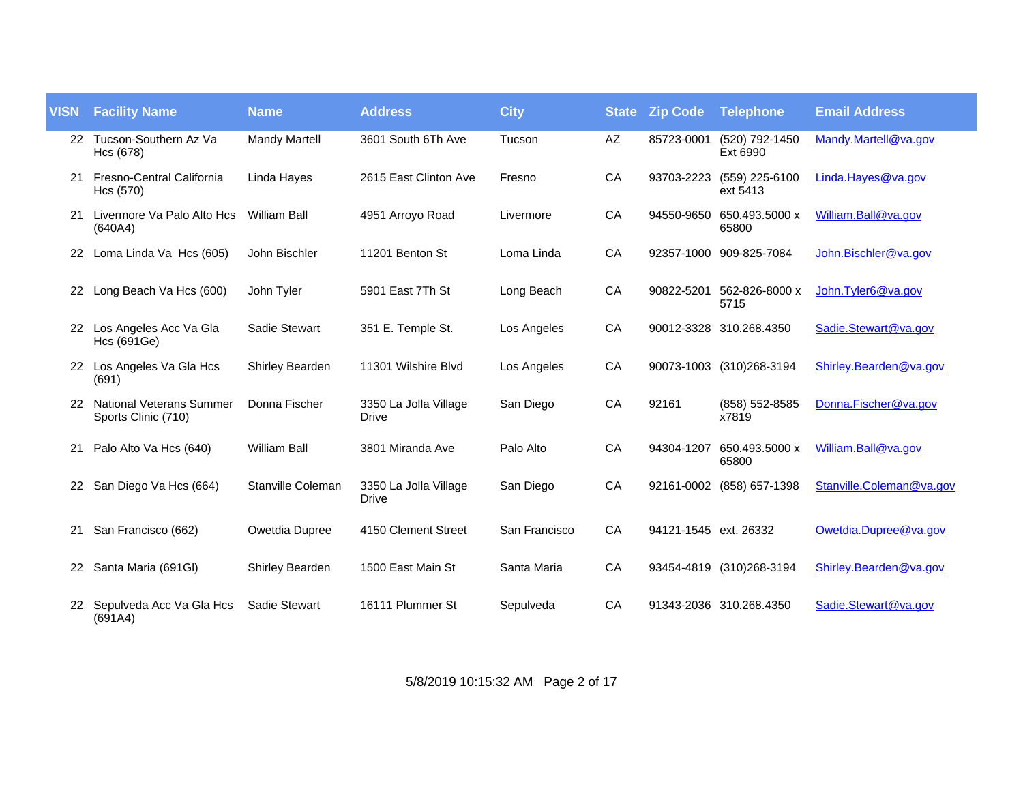| <b>VISN</b> | <b>Facility Name</b>                                   | <b>Name</b>            | <b>Address</b>                        | <b>City</b>   | <b>State</b> | <b>Zip Code</b>       | Telephone                          | <b>Email Address</b>     |
|-------------|--------------------------------------------------------|------------------------|---------------------------------------|---------------|--------------|-----------------------|------------------------------------|--------------------------|
|             | 22 Tucson-Southern Az Va<br>Hcs (678)                  | <b>Mandy Martell</b>   | 3601 South 6Th Ave                    | Tucson        | AZ           | 85723-0001            | (520) 792-1450<br>Ext 6990         | Mandy.Martell@va.gov     |
| 21          | Fresno-Central California<br>Hcs (570)                 | Linda Hayes            | 2615 East Clinton Ave                 | Fresno        | CA           | 93703-2223            | (559) 225-6100<br>ext 5413         | Linda. Hayes@va.gov      |
|             | Livermore Va Palo Alto Hcs<br>(640A4)                  | <b>William Ball</b>    | 4951 Arroyo Road                      | Livermore     | CA           |                       | 94550-9650 650.493.5000 x<br>65800 | William.Ball@va.gov      |
| 22.         | Loma Linda Va Hcs (605)                                | John Bischler          | 11201 Benton St                       | Loma Linda    | CA           |                       | 92357-1000 909-825-7084            | John.Bischler@va.gov     |
| 22          | Long Beach Va Hcs (600)                                | John Tyler             | 5901 East 7Th St                      | Long Beach    | CA           | 90822-5201            | 562-826-8000 x<br>5715             | John. Tyler6@va.gov      |
| 22          | Los Angeles Acc Va Gla<br><b>Hcs (691Ge)</b>           | Sadie Stewart          | 351 E. Temple St.                     | Los Angeles   | CA           |                       | 90012-3328 310.268.4350            | Sadie.Stewart@va.gov     |
|             | 22 Los Angeles Va Gla Hcs<br>(691)                     | <b>Shirley Bearden</b> | 11301 Wilshire Blyd                   | Los Angeles   | CA           |                       | 90073-1003 (310)268-3194           | Shirley.Bearden@va.gov   |
| 22          | <b>National Veterans Summer</b><br>Sports Clinic (710) | Donna Fischer          | 3350 La Jolla Village<br>Drive        | San Diego     | CA           | 92161                 | (858) 552-8585<br>x7819            | Donna.Fischer@va.gov     |
| 21          | Palo Alto Va Hcs (640)                                 | <b>William Ball</b>    | 3801 Miranda Ave                      | Palo Alto     | CA           | 94304-1207            | 650.493.5000 x<br>65800            | William.Ball@va.gov      |
| 22.         | San Diego Va Hcs (664)                                 | Stanville Coleman      | 3350 La Jolla Village<br><b>Drive</b> | San Diego     | CA           |                       | 92161-0002 (858) 657-1398          | Stanville.Coleman@va.gov |
| 21          | San Francisco (662)                                    | Owetdia Dupree         | 4150 Clement Street                   | San Francisco | CA           | 94121-1545 ext. 26332 |                                    | Owetdia.Dupree@va.gov    |
| 22          | Santa Maria (691GI)                                    | Shirley Bearden        | 1500 East Main St                     | Santa Maria   | CA           |                       | 93454-4819 (310)268-3194           | Shirley.Bearden@va.gov   |
|             | 22 Sepulveda Acc Va Gla Hcs<br>(691A4)                 | Sadie Stewart          | 16111 Plummer St                      | Sepulveda     | CA           |                       | 91343-2036 310.268.4350            | Sadie.Stewart@va.gov     |

5/8/2019 10:15:32 AM Page 2 of 17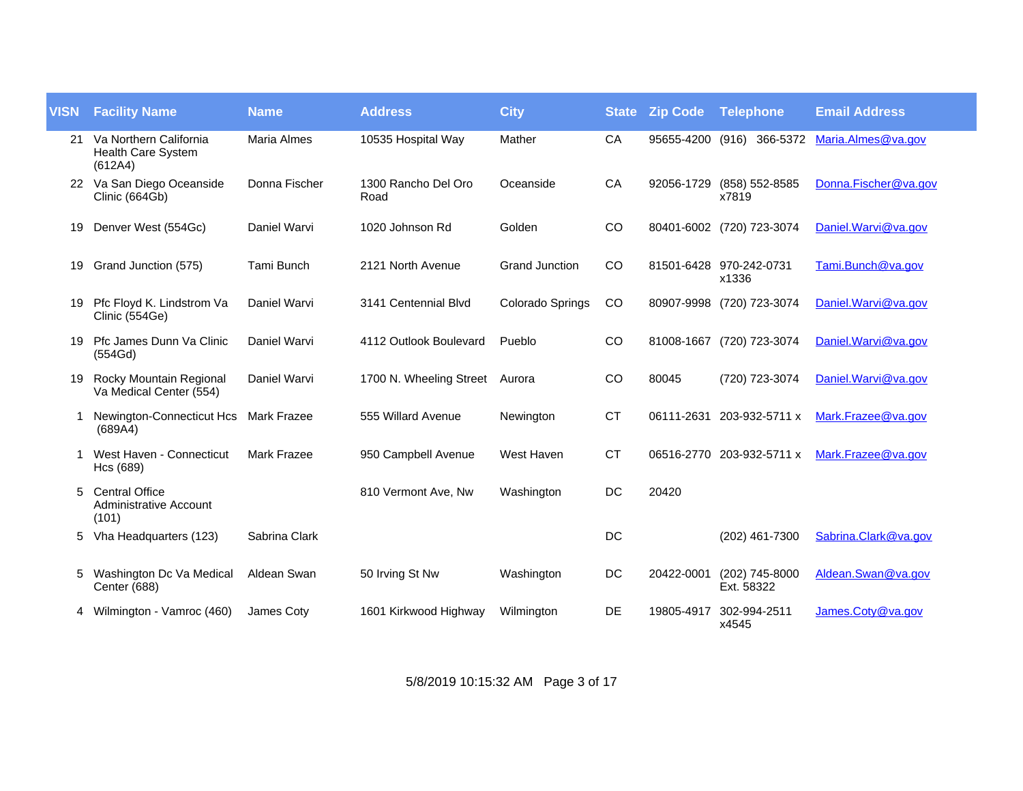| <b>VISN</b> | <b>Facility Name</b>                                            | <b>Name</b>        | <b>Address</b>              | <b>City</b>             | <b>State</b> | <b>Zip Code</b> | Telephone                          | <b>Email Address</b>                         |
|-------------|-----------------------------------------------------------------|--------------------|-----------------------------|-------------------------|--------------|-----------------|------------------------------------|----------------------------------------------|
| 21          | Va Northern California<br>Health Care System<br>(612A4)         | <b>Maria Almes</b> | 10535 Hospital Way          | Mather                  | CA           |                 |                                    | 95655-4200 (916) 366-5372 Maria.Almes@va.gov |
|             | 22 Va San Diego Oceanside<br>Clinic (664Gb)                     | Donna Fischer      | 1300 Rancho Del Oro<br>Road | Oceanside               | CA           |                 | 92056-1729 (858) 552-8585<br>x7819 | Donna.Fischer@va.gov                         |
| 19          | Denver West (554Gc)                                             | Daniel Warvi       | 1020 Johnson Rd             | Golden                  | CO           |                 | 80401-6002 (720) 723-3074          | Daniel.Warvi@va.gov                          |
| 19          | Grand Junction (575)                                            | Tami Bunch         | 2121 North Avenue           | <b>Grand Junction</b>   | CO           |                 | 81501-6428 970-242-0731<br>x1336   | Tami.Bunch@va.gov                            |
| 19          | Pfc Floyd K. Lindstrom Va<br>Clinic (554Ge)                     | Daniel Warvi       | 3141 Centennial Blvd        | <b>Colorado Springs</b> | CO           |                 | 80907-9998 (720) 723-3074          | Daniel. Warvi@va.gov                         |
| 19          | Pfc James Dunn Va Clinic<br>(554Gd)                             | Daniel Warvi       | 4112 Outlook Boulevard      | Pueblo                  | CO           |                 | 81008-1667 (720) 723-3074          | Daniel. Warvi@va.gov                         |
| 19          | Rocky Mountain Regional<br>Va Medical Center (554)              | Daniel Warvi       | 1700 N. Wheeling Street     | Aurora                  | CO           | 80045           | (720) 723-3074                     | Daniel. Warvi@va.gov                         |
|             | Newington-Connecticut Hcs<br>(689A4)                            | <b>Mark Frazee</b> | 555 Willard Avenue          | Newington               | <b>CT</b>    |                 | 06111-2631 203-932-5711 x          | Mark.Frazee@va.gov                           |
|             | West Haven - Connecticut<br>Hcs (689)                           | <b>Mark Frazee</b> | 950 Campbell Avenue         | West Haven              | <b>CT</b>    |                 | 06516-2770 203-932-5711 x          | Mark.Frazee@va.gov                           |
| 5           | <b>Central Office</b><br><b>Administrative Account</b><br>(101) |                    | 810 Vermont Ave, Nw         | Washington              | DC           | 20420           |                                    |                                              |
| 5           | Vha Headquarters (123)                                          | Sabrina Clark      |                             |                         | DC           |                 | (202) 461-7300                     | Sabrina.Clark@va.gov                         |
| 5           | Washington Dc Va Medical<br>Center (688)                        | Aldean Swan        | 50 Irving St Nw             | Washington              | DC           | 20422-0001      | (202) 745-8000<br>Ext. 58322       | Aldean.Swan@va.gov                           |
|             | Wilmington - Vamroc (460)                                       | James Coty         | 1601 Kirkwood Highway       | Wilmington              | DE           | 19805-4917      | 302-994-2511<br>x4545              | James.Coty@va.gov                            |

5/8/2019 10:15:32 AM Page 3 of 17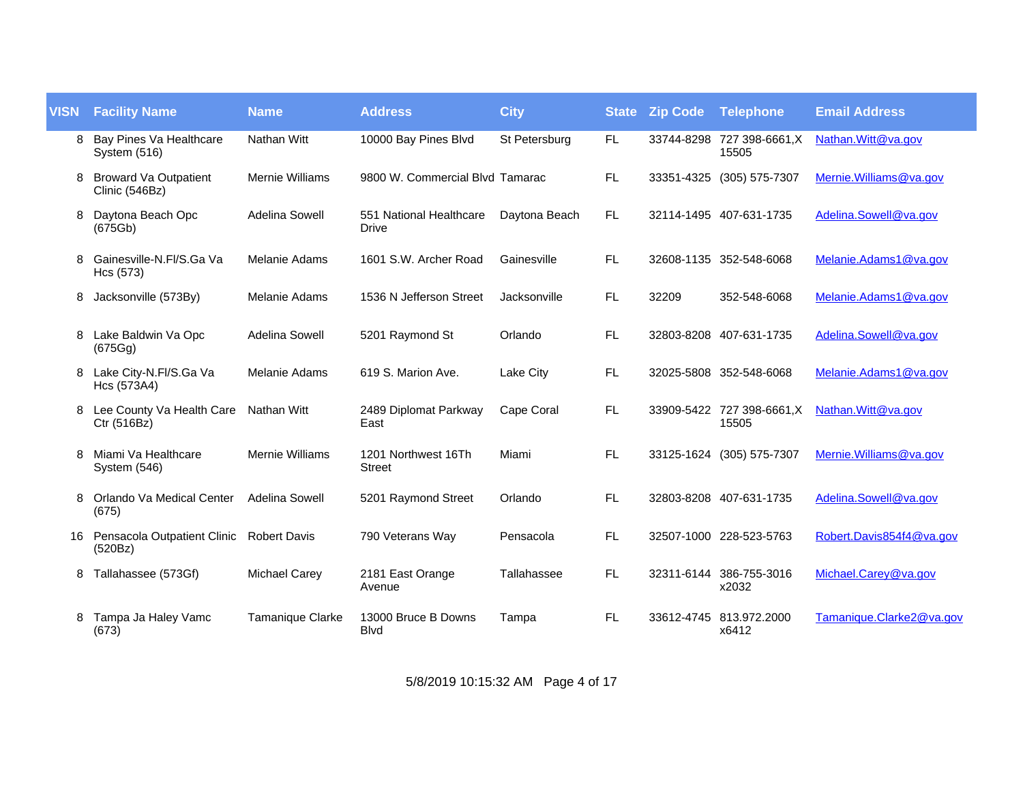| <b>VISN</b> | <b>Facility Name</b>                                | <b>Name</b>            | <b>Address</b>                          | <b>City</b>   | <b>State</b> | <b>Zip Code Telephone</b> |                                     | <b>Email Address</b>     |
|-------------|-----------------------------------------------------|------------------------|-----------------------------------------|---------------|--------------|---------------------------|-------------------------------------|--------------------------|
| 8           | Bay Pines Va Healthcare<br>System (516)             | <b>Nathan Witt</b>     | 10000 Bay Pines Blvd                    | St Petersburg | FL.          |                           | 33744-8298 727 398-6661, X<br>15505 | Nathan. Witt@va.gov      |
|             | <b>Broward Va Outpatient</b><br>Clinic (546Bz)      | <b>Mernie Williams</b> | 9800 W. Commercial Blvd Tamarac         |               | FL           |                           | 33351-4325 (305) 575-7307           | Mernie. Williams@va.gov  |
| 8           | Daytona Beach Opc<br>(675Gb)                        | Adelina Sowell         | 551 National Healthcare<br><b>Drive</b> | Daytona Beach | FL.          |                           | 32114-1495 407-631-1735             | Adelina.Sowell@va.gov    |
| 8           | Gainesville-N.Fl/S.Ga Va<br>Hcs (573)               | Melanie Adams          | 1601 S.W. Archer Road                   | Gainesville   | <b>FL</b>    |                           | 32608-1135 352-548-6068             | Melanie.Adams1@va.gov    |
| 8           | Jacksonville (573By)                                | Melanie Adams          | 1536 N Jefferson Street                 | Jacksonville  | FL.          | 32209                     | 352-548-6068                        | Melanie.Adams1@va.gov    |
| 8           | Lake Baldwin Va Opc<br>(675Gg)                      | Adelina Sowell         | 5201 Raymond St                         | Orlando       | FL           |                           | 32803-8208 407-631-1735             | Adelina.Sowell@va.gov    |
| 8           | Lake City-N.Fl/S.Ga Va<br>Hcs (573A4)               | Melanie Adams          | 619 S. Marion Ave.                      | Lake City     | FL.          |                           | 32025-5808 352-548-6068             | Melanie.Adams1@va.gov    |
| 8           | Lee County Va Health Care<br>Ctr (516Bz)            | <b>Nathan Witt</b>     | 2489 Diplomat Parkway<br>East           | Cape Coral    | FL.          |                           | 33909-5422 727 398-6661,X<br>15505  | Nathan. Witt@va.gov      |
| 8           | Miami Va Healthcare<br>System (546)                 | <b>Mernie Williams</b> | 1201 Northwest 16Th<br><b>Street</b>    | Miami         | FL.          |                           | 33125-1624 (305) 575-7307           | Mernie. Williams@va.gov  |
| 8           | Orlando Va Medical Center<br>(675)                  | Adelina Sowell         | 5201 Raymond Street                     | Orlando       | FL.          |                           | 32803-8208 407-631-1735             | Adelina.Sowell@va.gov    |
| 16          | Pensacola Outpatient Clinic Robert Davis<br>(520Bz) |                        | 790 Veterans Way                        | Pensacola     | FL           |                           | 32507-1000 228-523-5763             | Robert.Davis854f4@va.gov |
| 8           | Tallahassee (573Gf)                                 | <b>Michael Carey</b>   | 2181 East Orange<br>Avenue              | Tallahassee   | FL           |                           | 32311-6144 386-755-3016<br>x2032    | Michael.Carey@va.gov     |
| 8           | Tampa Ja Haley Vamc<br>(673)                        | Tamanique Clarke       | 13000 Bruce B Downs<br><b>Blvd</b>      | Tampa         | FL.          |                           | 33612-4745 813.972.2000<br>x6412    | Tamanique.Clarke2@va.gov |

5/8/2019 10:15:32 AM Page 4 of 17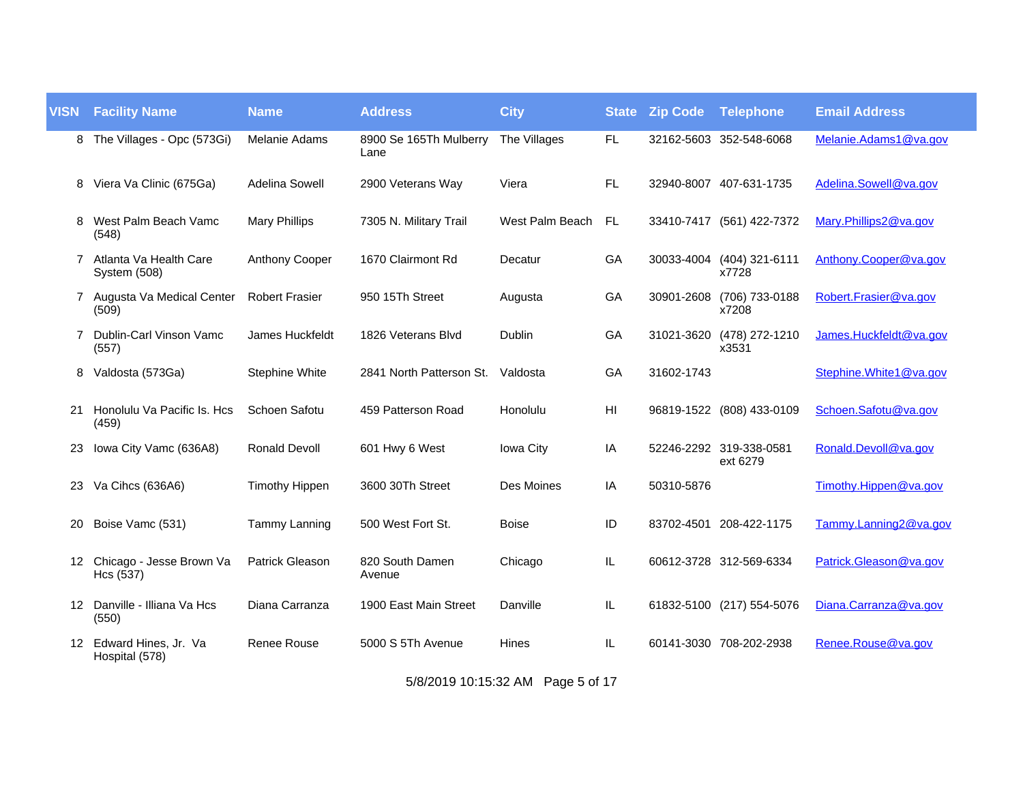| <b>VISN</b>    | <b>Facility Name</b>                      | <b>Name</b>            | <b>Address</b>                 | <b>City</b>     | <b>State</b> | <b>Zip Code</b> | <b>Telephone</b>                    | <b>Email Address</b>   |
|----------------|-------------------------------------------|------------------------|--------------------------------|-----------------|--------------|-----------------|-------------------------------------|------------------------|
| 8              | The Villages - Opc (573Gi)                | Melanie Adams          | 8900 Se 165Th Mulberry<br>Lane | The Villages    | <b>FL</b>    |                 | 32162-5603 352-548-6068             | Melanie.Adams1@va.gov  |
| 8              | Viera Va Clinic (675Ga)                   | <b>Adelina Sowell</b>  | 2900 Veterans Way              | Viera           | FL.          |                 | 32940-8007 407-631-1735             | Adelina.Sowell@va.gov  |
| 8              | West Palm Beach Vamc<br>(548)             | <b>Mary Phillips</b>   | 7305 N. Military Trail         | West Palm Beach | <b>FL</b>    |                 | 33410-7417 (561) 422-7372           | Mary.Phillips2@va.gov  |
| $\overline{7}$ | Atlanta Va Health Care<br>System (508)    | <b>Anthony Cooper</b>  | 1670 Clairmont Rd              | Decatur         | GA           | 30033-4004      | (404) 321-6111<br>x7728             | Anthony.Cooper@va.gov  |
|                | 7 Augusta Va Medical Center<br>(509)      | <b>Robert Frasier</b>  | 950 15Th Street                | Augusta         | GA           | 30901-2608      | (706) 733-0188<br>x7208             | Robert.Frasier@va.gov  |
|                | Dublin-Carl Vinson Vamc<br>(557)          | <b>James Huckfeldt</b> | 1826 Veterans Blvd             | Dublin          | GA           | 31021-3620      | (478) 272-1210<br>x3531             | James.Huckfeldt@va.gov |
| 8              | Valdosta (573Ga)                          | Stephine White         | 2841 North Patterson St.       | Valdosta        | GA           | 31602-1743      |                                     | Stephine.White1@va.gov |
| 21             | Honolulu Va Pacific Is. Hcs<br>(459)      | Schoen Safotu          | 459 Patterson Road             | Honolulu        | HI           |                 | 96819-1522 (808) 433-0109           | Schoen.Safotu@va.gov   |
| 23             | Iowa City Vamc (636A8)                    | <b>Ronald Devoll</b>   | 601 Hwy 6 West                 | Iowa City       | IA           |                 | 52246-2292 319-338-0581<br>ext 6279 | Ronald.Devoll@va.gov   |
| 23.            | Va Cihcs (636A6)                          | <b>Timothy Hippen</b>  | 3600 30Th Street               | Des Moines      | IA           | 50310-5876      |                                     | Timothy.Hippen@ya.gov  |
| 20             | Boise Vamc (531)                          | Tammy Lanning          | 500 West Fort St.              | <b>Boise</b>    | ID           |                 | 83702-4501 208-422-1175             | Tammy.Lanning2@va.gov  |
|                | 12 Chicago - Jesse Brown Va<br>Hcs (537)  | <b>Patrick Gleason</b> | 820 South Damen<br>Avenue      | Chicago         | IL           |                 | 60612-3728 312-569-6334             | Patrick.Gleason@va.gov |
|                | 12 Danville - Illiana Va Hcs<br>(550)     | Diana Carranza         | 1900 East Main Street          | Danville        | IL           |                 | 61832-5100 (217) 554-5076           | Diana.Carranza@va.gov  |
|                | 12 Edward Hines, Jr. Va<br>Hospital (578) | <b>Renee Rouse</b>     | 5000 S 5Th Avenue              | Hines           | IL           |                 | 60141-3030 708-202-2938             | Renee.Rouse@va.gov     |

5/8/2019 10:15:32 AM Page 5 of 17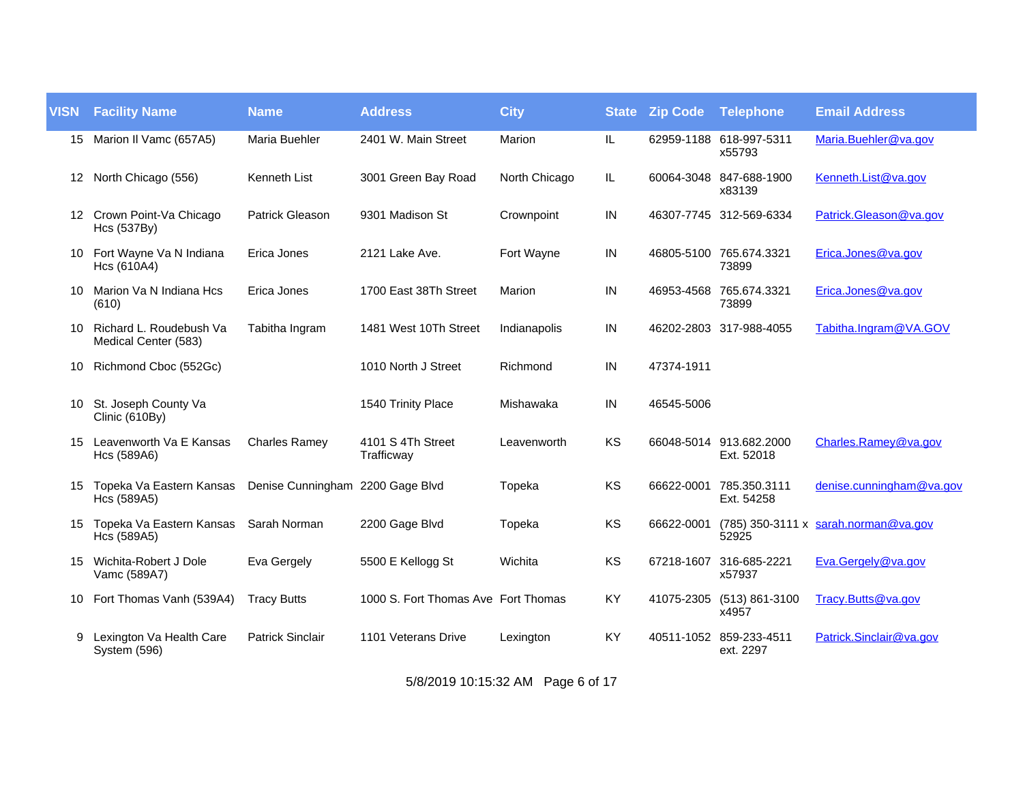| <b>VISN</b> | <b>Facility Name</b>                            | <b>Name</b>                      | <b>Address</b>                      | <b>City</b>   | <b>State</b> | <b>Zip Code</b> | <b>Telephone</b>                      | <b>Email Address</b>                 |
|-------------|-------------------------------------------------|----------------------------------|-------------------------------------|---------------|--------------|-----------------|---------------------------------------|--------------------------------------|
|             | 15 Marion II Vamc (657A5)                       | <b>Maria Buehler</b>             | 2401 W. Main Street                 | Marion        | IL           |                 | 62959-1188 618-997-5311<br>x55793     | Maria.Buehler@va.gov                 |
|             | 12 North Chicago (556)                          | Kenneth List                     | 3001 Green Bay Road                 | North Chicago | IL           |                 | 60064-3048 847-688-1900<br>x83139     | Kenneth.List@va.gov                  |
|             | 12 Crown Point-Va Chicago<br>Hcs (537By)        | <b>Patrick Gleason</b>           | 9301 Madison St                     | Crownpoint    | IN           |                 | 46307-7745 312-569-6334               | Patrick.Gleason@va.gov               |
|             | 10 Fort Wayne Va N Indiana<br>Hcs (610A4)       | Erica Jones                      | 2121 Lake Ave.                      | Fort Wayne    | $\sf IN$     |                 | 46805-5100 765.674.3321<br>73899      | Erica.Jones@va.gov                   |
| 10.         | Marion Va N Indiana Hcs<br>(610)                | Erica Jones                      | 1700 East 38Th Street               | Marion        | IN           |                 | 46953-4568 765.674.3321<br>73899      | Erica.Jones@va.gov                   |
| 10          | Richard L. Roudebush Va<br>Medical Center (583) | Tabitha Ingram                   | 1481 West 10Th Street               | Indianapolis  | $\sf IN$     |                 | 46202-2803 317-988-4055               | Tabitha.Ingram@VA.GOV                |
| 10          | Richmond Cboc (552Gc)                           |                                  | 1010 North J Street                 | Richmond      | IN           | 47374-1911      |                                       |                                      |
|             | 10 St. Joseph County Va<br>Clinic (610By)       |                                  | 1540 Trinity Place                  | Mishawaka     | IN           | 46545-5006      |                                       |                                      |
|             | 15 Leavenworth Va E Kansas<br>Hcs (589A6)       | <b>Charles Ramey</b>             | 4101 S 4Th Street<br>Trafficway     | Leavenworth   | KS           |                 | 66048-5014 913.682.2000<br>Ext. 52018 | Charles.Ramey@va.gov                 |
| 15          | Topeka Va Eastern Kansas<br>Hcs (589A5)         | Denise Cunningham 2200 Gage Blvd |                                     | Topeka        | KS           | 66622-0001      | 785.350.3111<br>Ext. 54258            | denise.cunningham@va.gov             |
| 15          | Topeka Va Eastern Kansas<br>Hcs (589A5)         | Sarah Norman                     | 2200 Gage Blvd                      | Topeka        | KS           | 66622-0001      | 52925                                 | (785) 350-3111 x sarah.norman@va.gov |
| 15          | Wichita-Robert J Dole<br>Vamc (589A7)           | Eva Gergely                      | 5500 E Kellogg St                   | Wichita       | KS           |                 | 67218-1607 316-685-2221<br>x57937     | Eva.Gergely@va.gov                   |
|             | 10 Fort Thomas Vanh (539A4)                     | <b>Tracy Butts</b>               | 1000 S. Fort Thomas Ave Fort Thomas |               | KY           |                 | 41075-2305 (513) 861-3100<br>x4957    | Tracy.Butts@va.gov                   |
| 9           | Lexington Va Health Care<br>System (596)        | <b>Patrick Sinclair</b>          | 1101 Veterans Drive                 | Lexington     | KY           |                 | 40511-1052 859-233-4511<br>ext. 2297  | Patrick.Sinclair@va.gov              |

5/8/2019 10:15:32 AM Page 6 of 17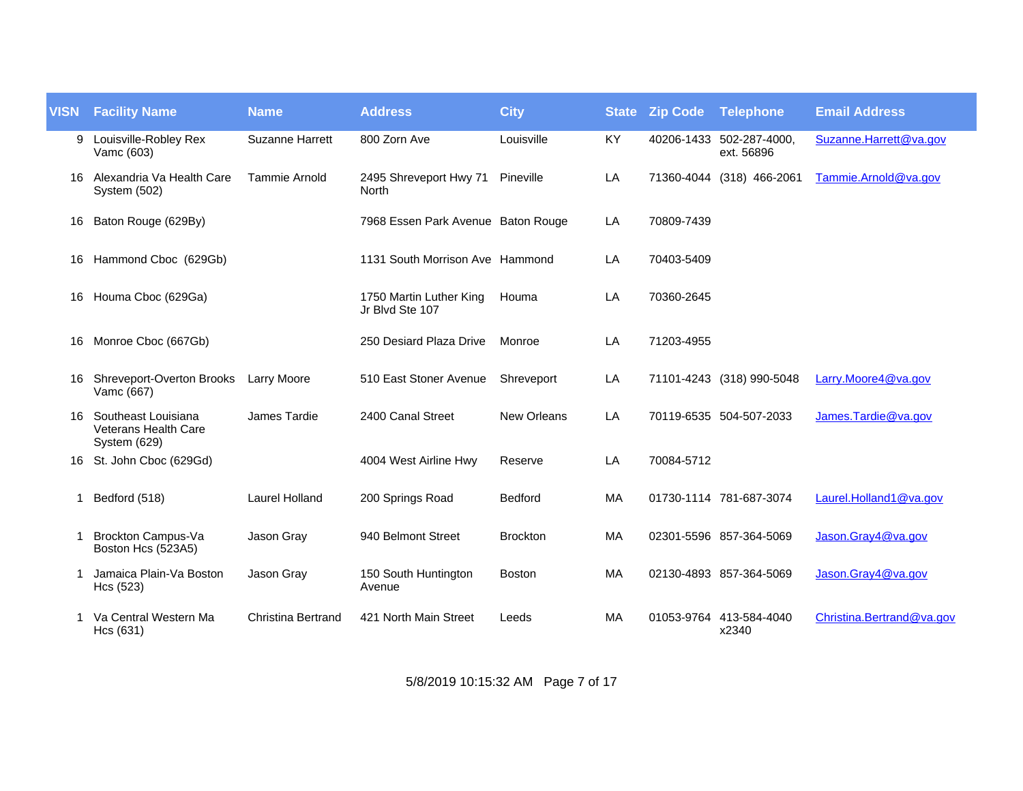| <b>VISN</b> | <b>Facility Name</b>                                               | <b>Name</b>           | <b>Address</b>                             | <b>City</b>        | <b>State</b> | <b>Zip Code Telephone</b> |                                        | <b>Email Address</b>      |
|-------------|--------------------------------------------------------------------|-----------------------|--------------------------------------------|--------------------|--------------|---------------------------|----------------------------------------|---------------------------|
| 9           | Louisville-Robley Rex<br>Vamc (603)                                | Suzanne Harrett       | 800 Zorn Ave                               | Louisville         | KY           |                           | 40206-1433 502-287-4000,<br>ext. 56896 | Suzanne.Harrett@va.gov    |
| 16.         | Alexandria Va Health Care<br>System (502)                          | Tammie Arnold         | 2495 Shreveport Hwy 71<br>North            | Pineville          | LA           |                           | 71360-4044 (318) 466-2061              | Tammie.Arnold@va.gov      |
| 16          | Baton Rouge (629By)                                                |                       | 7968 Essen Park Avenue Baton Rouge         |                    | LA           | 70809-7439                |                                        |                           |
|             | 16 Hammond Cboc (629Gb)                                            |                       | 1131 South Morrison Ave Hammond            |                    | LA           | 70403-5409                |                                        |                           |
|             | 16 Houma Cboc (629Ga)                                              |                       | 1750 Martin Luther King<br>Jr Blvd Ste 107 | Houma              | LA           | 70360-2645                |                                        |                           |
|             | 16 Monroe Cboc (667Gb)                                             |                       | 250 Desiard Plaza Drive                    | Monroe             | LA           | 71203-4955                |                                        |                           |
| 16          | Shreveport-Overton Brooks<br>Vamc (667)                            | <b>Larry Moore</b>    | 510 East Stoner Avenue                     | Shreveport         | LA           |                           | 71101-4243 (318) 990-5048              | Larry.Moore4@va.gov       |
| 16.         | Southeast Louisiana<br><b>Veterans Health Care</b><br>System (629) | James Tardie          | 2400 Canal Street                          | <b>New Orleans</b> | LA           |                           | 70119-6535 504-507-2033                | James.Tardie@va.gov       |
| 16          | St. John Cboc (629Gd)                                              |                       | 4004 West Airline Hwy                      | Reserve            | LA           | 70084-5712                |                                        |                           |
| -1          | Bedford (518)                                                      | <b>Laurel Holland</b> | 200 Springs Road                           | Bedford            | <b>MA</b>    |                           | 01730-1114 781-687-3074                | Laurel.Holland1@va.gov    |
| -1          | <b>Brockton Campus-Va</b><br>Boston Hcs (523A5)                    | Jason Gray            | 940 Belmont Street                         | <b>Brockton</b>    | MA           |                           | 02301-5596 857-364-5069                | Jason.Gray4@va.gov        |
|             | Jamaica Plain-Va Boston<br>Hcs (523)                               | Jason Gray            | 150 South Huntington<br>Avenue             | <b>Boston</b>      | MA           |                           | 02130-4893 857-364-5069                | Jason.Gray4@va.gov        |
|             | Va Central Western Ma<br>Hcs (631)                                 | Christina Bertrand    | 421 North Main Street                      | Leeds              | <b>MA</b>    |                           | 01053-9764 413-584-4040<br>x2340       | Christina.Bertrand@va.gov |

5/8/2019 10:15:32 AM Page 7 of 17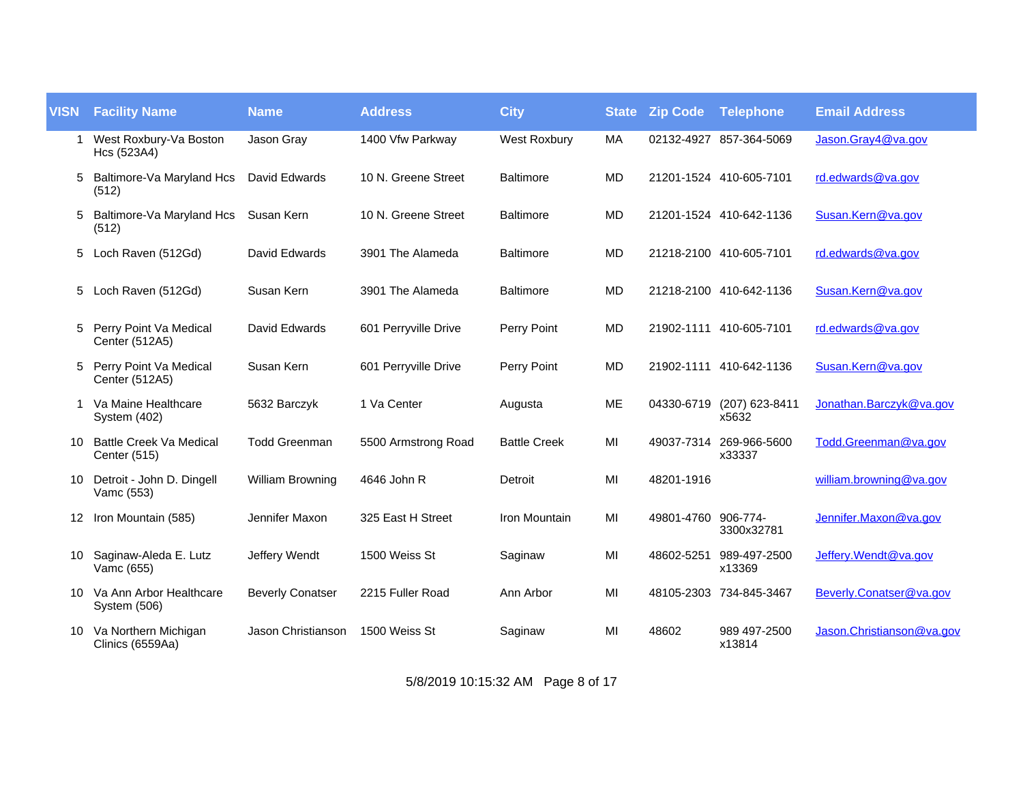| <b>VISN</b> | <b>Facility Name</b>                           | <b>Name</b>             | <b>Address</b>       | <b>City</b>         | <b>State</b> | <b>Zip Code</b>     | <b>Telephone</b>        | <b>Email Address</b>      |
|-------------|------------------------------------------------|-------------------------|----------------------|---------------------|--------------|---------------------|-------------------------|---------------------------|
| -1          | West Roxbury-Va Boston<br>Hcs (523A4)          | Jason Gray              | 1400 Vfw Parkway     | <b>West Roxbury</b> | MA           |                     | 02132-4927 857-364-5069 | Jason.Gray4@va.gov        |
| 5           | Baltimore-Va Maryland Hcs<br>(512)             | David Edwards           | 10 N. Greene Street  | <b>Baltimore</b>    | MD           |                     | 21201-1524 410-605-7101 | rd.edwards@va.gov         |
| 5           | Baltimore-Va Maryland Hcs<br>(512)             | Susan Kern              | 10 N. Greene Street  | <b>Baltimore</b>    | <b>MD</b>    |                     | 21201-1524 410-642-1136 | Susan.Kern@va.gov         |
| 5           | Loch Raven (512Gd)                             | David Edwards           | 3901 The Alameda     | <b>Baltimore</b>    | <b>MD</b>    |                     | 21218-2100 410-605-7101 | rd.edwards@va.gov         |
| 5           | Loch Raven (512Gd)                             | Susan Kern              | 3901 The Alameda     | <b>Baltimore</b>    | <b>MD</b>    |                     | 21218-2100 410-642-1136 | Susan.Kern@va.gov         |
| 5           | Perry Point Va Medical<br>Center (512A5)       | David Edwards           | 601 Perryville Drive | Perry Point         | <b>MD</b>    |                     | 21902-1111 410-605-7101 | rd.edwards@va.gov         |
| 5           | Perry Point Va Medical<br>Center (512A5)       | Susan Kern              | 601 Perryville Drive | Perry Point         | MD           |                     | 21902-1111 410-642-1136 | Susan.Kern@va.gov         |
|             | Va Maine Healthcare<br>System (402)            | 5632 Barczyk            | 1 Va Center          | Augusta             | ME           | 04330-6719          | (207) 623-8411<br>x5632 | Jonathan.Barczyk@va.gov   |
| 10          | <b>Battle Creek Va Medical</b><br>Center (515) | <b>Todd Greenman</b>    | 5500 Armstrong Road  | <b>Battle Creek</b> | MI           | 49037-7314          | 269-966-5600<br>x33337  | Todd.Greenman@va.gov      |
| 10          | Detroit - John D. Dingell<br>Vamc (553)        | William Browning        | 4646 John R          | Detroit             | MI           | 48201-1916          |                         | william.browning@va.gov   |
|             | 12 Iron Mountain (585)                         | Jennifer Maxon          | 325 East H Street    | Iron Mountain       | MI           | 49801-4760 906-774- | 3300x32781              | Jennifer.Maxon@va.gov     |
| 10          | Saginaw-Aleda E. Lutz<br>Vamc (655)            | Jeffery Wendt           | 1500 Weiss St        | Saginaw             | MI           | 48602-5251          | 989-497-2500<br>x13369  | Jeffery. Wendt@va.gov     |
|             | 10 Va Ann Arbor Healthcare<br>System (506)     | <b>Beverly Conatser</b> | 2215 Fuller Road     | Ann Arbor           | MI           |                     | 48105-2303 734-845-3467 | Beverly.Conatser@va.gov   |
|             | 10 Va Northern Michigan<br>Clinics (6559Aa)    | Jason Christianson      | 1500 Weiss St        | Saginaw             | MI           | 48602               | 989 497-2500<br>x13814  | Jason.Christianson@va.gov |

5/8/2019 10:15:32 AM Page 8 of 17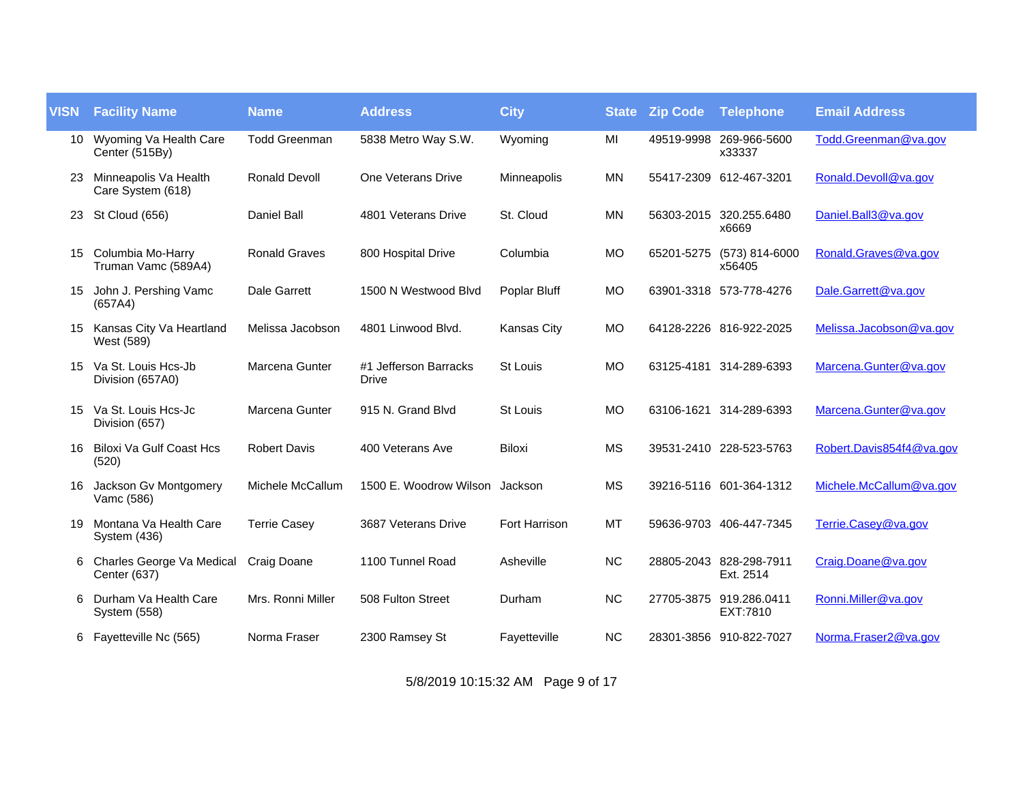| <b>VISN</b> | <b>Facility Name</b>                       | <b>Name</b>          | <b>Address</b>                        | <b>City</b>        | <b>State</b> | <b>Zip Code</b> | <b>Telephone</b>                     | <b>Email Address</b>     |
|-------------|--------------------------------------------|----------------------|---------------------------------------|--------------------|--------------|-----------------|--------------------------------------|--------------------------|
| 10          | Wyoming Va Health Care<br>Center (515By)   | <b>Todd Greenman</b> | 5838 Metro Way S.W.                   | Wyoming            | MI           |                 | 49519-9998 269-966-5600<br>x33337    | Todd.Greenman@va.gov     |
| 23.         | Minneapolis Va Health<br>Care System (618) | <b>Ronald Devoll</b> | One Veterans Drive                    | Minneapolis        | <b>MN</b>    |                 | 55417-2309 612-467-3201              | Ronald.Devoll@va.gov     |
| 23          | St Cloud (656)                             | <b>Daniel Ball</b>   | 4801 Veterans Drive                   | St. Cloud          | <b>MN</b>    |                 | 56303-2015 320.255.6480<br>x6669     | Daniel.Ball3@va.gov      |
| 15          | Columbia Mo-Harry<br>Truman Vamc (589A4)   | <b>Ronald Graves</b> | 800 Hospital Drive                    | Columbia           | <b>MO</b>    | 65201-5275      | (573) 814-6000<br>x56405             | Ronald.Graves@va.gov     |
| 15          | John J. Pershing Vamc<br>(657A4)           | <b>Dale Garrett</b>  | 1500 N Westwood Blvd                  | Poplar Bluff       | <b>MO</b>    |                 | 63901-3318 573-778-4276              | Dale.Garrett@va.gov      |
| 15.         | Kansas City Va Heartland<br>West (589)     | Melissa Jacobson     | 4801 Linwood Blvd.                    | <b>Kansas City</b> | <b>MO</b>    |                 | 64128-2226 816-922-2025              | Melissa.Jacobson@va.gov  |
| 15          | Va St. Louis Hcs-Jb<br>Division (657A0)    | Marcena Gunter       | #1 Jefferson Barracks<br><b>Drive</b> | St Louis           | <b>MO</b>    |                 | 63125-4181 314-289-6393              | Marcena.Gunter@va.gov    |
| 15          | Va St. Louis Hcs-Jc<br>Division (657)      | Marcena Gunter       | 915 N. Grand Blvd                     | St Louis           | <b>MO</b>    |                 | 63106-1621 314-289-6393              | Marcena.Gunter@va.gov    |
| 16          | <b>Biloxi Va Gulf Coast Hcs</b><br>(520)   | <b>Robert Davis</b>  | 400 Veterans Ave                      | <b>Biloxi</b>      | <b>MS</b>    |                 | 39531-2410 228-523-5763              | Robert.Davis854f4@va.gov |
| 16          | Jackson Gv Montgomery<br>Vamc (586)        | Michele McCallum     | 1500 E. Woodrow Wilson                | Jackson            | <b>MS</b>    |                 | 39216-5116 601-364-1312              | Michele.McCallum@va.gov  |
| 19          | Montana Va Health Care<br>System (436)     | <b>Terrie Casey</b>  | 3687 Veterans Drive                   | Fort Harrison      | <b>MT</b>    |                 | 59636-9703 406-447-7345              | Terrie.Casey@va.gov      |
| 6           | Charles George Va Medical<br>Center (637)  | Craig Doane          | 1100 Tunnel Road                      | Asheville          | <b>NC</b>    |                 | 28805-2043 828-298-7911<br>Ext. 2514 | Craig.Doane@va.gov       |
| 6           | Durham Va Health Care<br>System (558)      | Mrs. Ronni Miller    | 508 Fulton Street                     | Durham             | <b>NC</b>    |                 | 27705-3875 919.286.0411<br>EXT:7810  | Ronni.Miller@va.gov      |
|             | 6 Fayetteville Nc (565)                    | Norma Fraser         | 2300 Ramsey St                        | Fayetteville       | NC           |                 | 28301-3856 910-822-7027              | Norma.Fraser2@va.gov     |

5/8/2019 10:15:32 AM Page 9 of 17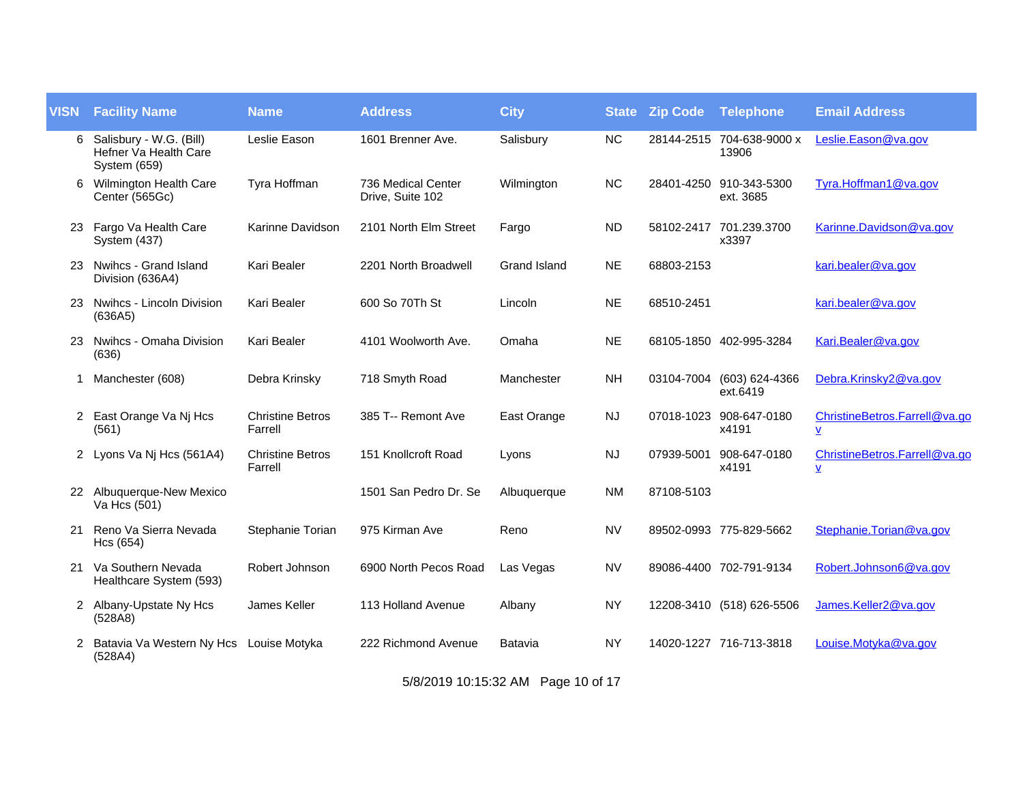| <b>VISN</b> | <b>Facility Name</b>                                             | <b>Name</b>                        | <b>Address</b>                         | <b>City</b>  | <b>State</b> | <b>Zip Code</b> | <b>Telephone</b>                     | <b>Email Address</b>                                      |
|-------------|------------------------------------------------------------------|------------------------------------|----------------------------------------|--------------|--------------|-----------------|--------------------------------------|-----------------------------------------------------------|
| 6           | Salisbury - W.G. (Bill)<br>Hefner Va Health Care<br>System (659) | Leslie Eason                       | 1601 Brenner Ave.                      | Salisbury    | <b>NC</b>    |                 | 28144-2515 704-638-9000 x<br>13906   | Leslie.Eason@va.gov                                       |
| 6           | Wilmington Health Care<br>Center (565Gc)                         | Tyra Hoffman                       | 736 Medical Center<br>Drive, Suite 102 | Wilmington   | <b>NC</b>    |                 | 28401-4250 910-343-5300<br>ext. 3685 | Tyra.Hoffman1@va.gov                                      |
|             | 23 Fargo Va Health Care<br>System (437)                          | Karinne Davidson                   | 2101 North Elm Street                  | Fargo        | <b>ND</b>    |                 | 58102-2417 701.239.3700<br>x3397     | Karinne.Davidson@va.gov                                   |
| 23.         | Nwihcs - Grand Island<br>Division (636A4)                        | Kari Bealer                        | 2201 North Broadwell                   | Grand Island | <b>NE</b>    | 68803-2153      |                                      | kari.bealer@va.gov                                        |
| 23.         | Nwihcs - Lincoln Division<br>(636A5)                             | Kari Bealer                        | 600 So 70Th St                         | Lincoln      | <b>NE</b>    | 68510-2451      |                                      | kari.bealer@va.gov                                        |
| 23.         | Nwihcs - Omaha Division<br>(636)                                 | Kari Bealer                        | 4101 Woolworth Ave.                    | Omaha        | <b>NE</b>    |                 | 68105-1850 402-995-3284              | Kari.Bealer@va.gov                                        |
| 1           | Manchester (608)                                                 | Debra Krinsky                      | 718 Smyth Road                         | Manchester   | <b>NH</b>    | 03104-7004      | (603) 624-4366<br>ext.6419           | Debra.Krinsky2@va.gov                                     |
| 2           | East Orange Va Nj Hcs<br>(561)                                   | <b>Christine Betros</b><br>Farrell | 385 T-- Remont Ave                     | East Orange  | <b>NJ</b>    |                 | 07018-1023 908-647-0180<br>x4191     | ChristineBetros.Farrell@va.go<br>$\underline{\mathsf{v}}$ |
|             | 2 Lyons Va Nj Hcs (561A4)                                        | <b>Christine Betros</b><br>Farrell | 151 Knollcroft Road                    | Lyons        | <b>NJ</b>    | 07939-5001      | 908-647-0180<br>x4191                | ChristineBetros.Farrell@va.go<br>Y                        |
| 22          | Albuquerque-New Mexico<br>Va Hcs (501)                           |                                    | 1501 San Pedro Dr. Se                  | Albuquerque  | <b>NM</b>    | 87108-5103      |                                      |                                                           |
| 21          | Reno Va Sierra Nevada<br>Hcs (654)                               | Stephanie Torian                   | 975 Kirman Ave                         | Reno         | <b>NV</b>    |                 | 89502-0993 775-829-5662              | Stephanie.Torian@va.gov                                   |
| 21          | Va Southern Nevada<br>Healthcare System (593)                    | Robert Johnson                     | 6900 North Pecos Road                  | Las Vegas    | <b>NV</b>    |                 | 89086-4400 702-791-9134              | Robert.Johnson6@va.gov                                    |
|             | 2 Albany-Upstate Ny Hcs<br>(528A8)                               | James Keller                       | 113 Holland Avenue                     | Albany       | <b>NY</b>    |                 | 12208-3410 (518) 626-5506            | James.Keller2@va.gov                                      |
| 2           | Batavia Va Western Ny Hcs Louise Motyka<br>(528A4)               |                                    | 222 Richmond Avenue                    | Batavia      | <b>NY</b>    |                 | 14020-1227 716-713-3818              | Louise.Motyka@va.gov                                      |

5/8/2019 10:15:32 AM Page 10 of 17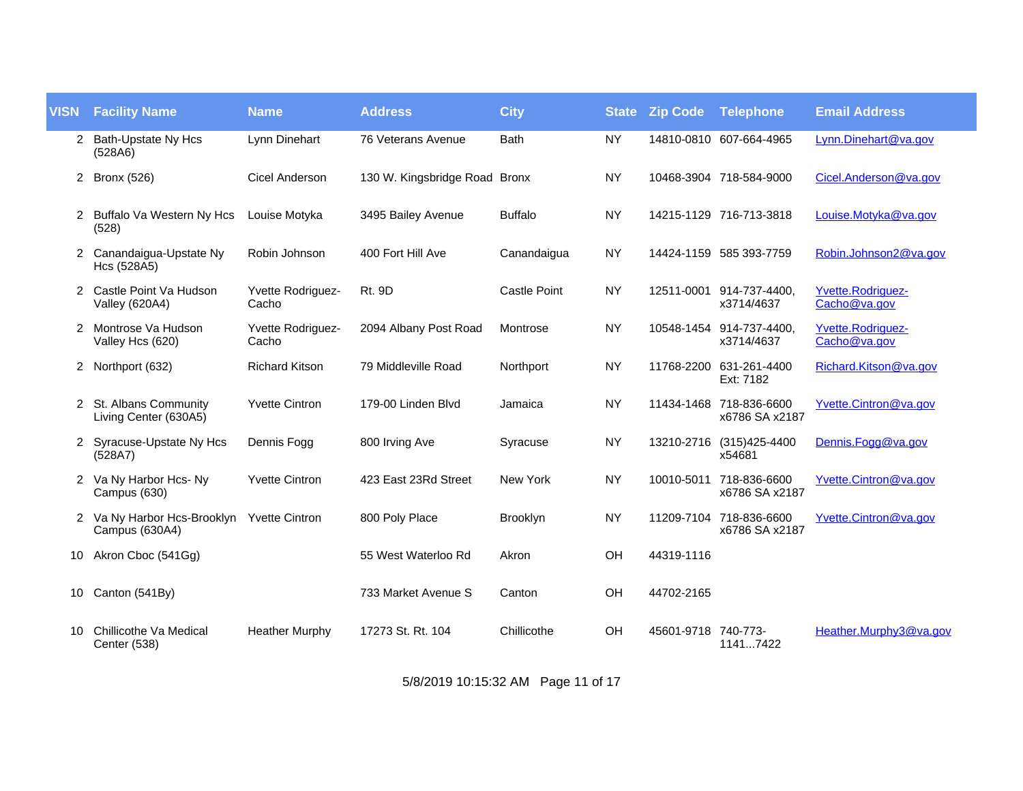| <b>VISN</b>          | <b>Facility Name</b>                                       | <b>Name</b>                | <b>Address</b>                | <b>City</b>         | <b>State</b> | <b>Zip Code</b>     | Telephone                                 | <b>Email Address</b>                     |
|----------------------|------------------------------------------------------------|----------------------------|-------------------------------|---------------------|--------------|---------------------|-------------------------------------------|------------------------------------------|
| $\mathbf{2}^{\circ}$ | Bath-Upstate Ny Hcs<br>(528A6)                             | Lynn Dinehart              | 76 Veterans Avenue            | <b>Bath</b>         | <b>NY</b>    |                     | 14810-0810 607-664-4965                   | Lynn.Dinehart@va.gov                     |
| 2                    | <b>Bronx (526)</b>                                         | Cicel Anderson             | 130 W. Kingsbridge Road Bronx |                     | <b>NY</b>    |                     | 10468-3904 718-584-9000                   | Cicel.Anderson@va.gov                    |
| 2                    | Buffalo Va Western Ny Hcs<br>(528)                         | Louise Motyka              | 3495 Bailey Avenue            | <b>Buffalo</b>      | <b>NY</b>    |                     | 14215-1129 716-713-3818                   | Louise.Motyka@va.gov                     |
| 2                    | Canandaigua-Upstate Ny<br>Hcs (528A5)                      | Robin Johnson              | 400 Fort Hill Ave             | Canandaigua         | <b>NY</b>    |                     | 14424-1159 585 393-7759                   | Robin.Johnson2@va.gov                    |
| 2                    | Castle Point Va Hudson<br><b>Valley (620A4)</b>            | Yvette Rodriguez-<br>Cacho | <b>Rt. 9D</b>                 | <b>Castle Point</b> | <b>NY</b>    |                     | 12511-0001 914-737-4400,<br>x3714/4637    | <b>Yvette.Rodriguez-</b><br>Cacho@va.gov |
| $\overline{2}$       | Montrose Va Hudson<br>Valley Hcs (620)                     | Yvette Rodriguez-<br>Cacho | 2094 Albany Post Road         | Montrose            | <b>NY</b>    |                     | 10548-1454 914-737-4400.<br>x3714/4637    | <b>Yvette.Rodriguez-</b><br>Cacho@va.gov |
| 2                    | Northport (632)                                            | <b>Richard Kitson</b>      | 79 Middleville Road           | Northport           | <b>NY</b>    | 11768-2200          | 631-261-4400<br>Ext: 7182                 | Richard.Kitson@va.gov                    |
|                      | 2 St. Albans Community<br>Living Center (630A5)            | <b>Yvette Cintron</b>      | 179-00 Linden Blvd            | Jamaica             | <b>NY</b>    |                     | 11434-1468 718-836-6600<br>x6786 SA x2187 | Yvette.Cintron@va.gov                    |
|                      | 2 Syracuse-Upstate Ny Hcs<br>(528A7)                       | Dennis Fogg                | 800 Irving Ave                | Syracuse            | <b>NY</b>    |                     | 13210-2716 (315)425-4400<br>x54681        | Dennis.Fogg@va.gov                       |
|                      | 2 Va Ny Harbor Hcs- Ny<br>Campus (630)                     | <b>Yvette Cintron</b>      | 423 East 23Rd Street          | New York            | <b>NY</b>    | 10010-5011          | 718-836-6600<br>x6786 SA x2187            | Yvette.Cintron@va.gov                    |
| 2                    | Va Ny Harbor Hcs-Brooklyn Yvette Cintron<br>Campus (630A4) |                            | 800 Poly Place                | <b>Brooklyn</b>     | <b>NY</b>    |                     | 11209-7104 718-836-6600<br>x6786 SA x2187 | Yvette.Cintron@va.gov                    |
| 10                   | Akron Cboc (541Gg)                                         |                            | 55 West Waterloo Rd           | Akron               | OH           | 44319-1116          |                                           |                                          |
| 10                   | Canton (541By)                                             |                            | 733 Market Avenue S           | Canton              | OH           | 44702-2165          |                                           |                                          |
| 10                   | Chillicothe Va Medical<br><b>Center (538)</b>              | <b>Heather Murphy</b>      | 17273 St. Rt. 104             | Chillicothe         | OH           | 45601-9718 740-773- | 11417422                                  | Heather.Murphy3@va.gov                   |

5/8/2019 10:15:32 AM Page 11 of 17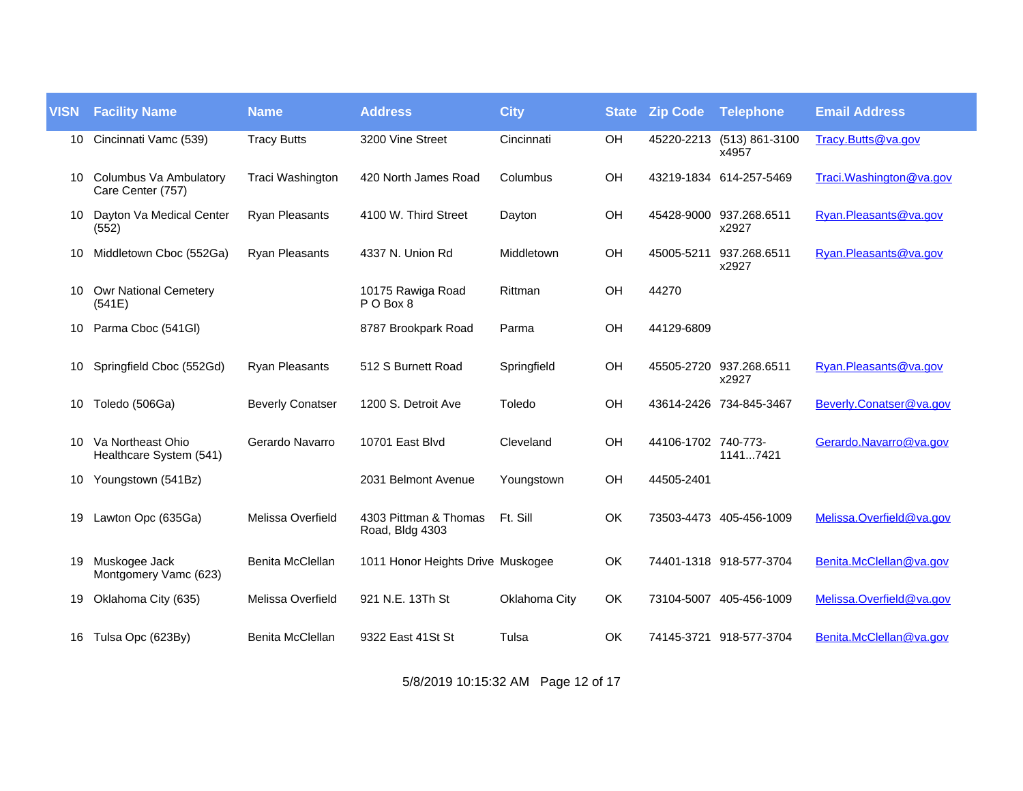| <b>VISN</b> | <b>Facility Name</b>                         | <b>Name</b>             | <b>Address</b>                           | <b>City</b>   | <b>State</b> | <b>Zip Code</b>     | Telephone                          | <b>Email Address</b>      |
|-------------|----------------------------------------------|-------------------------|------------------------------------------|---------------|--------------|---------------------|------------------------------------|---------------------------|
| 10          | Cincinnati Vamc (539)                        | <b>Tracy Butts</b>      | 3200 Vine Street                         | Cincinnati    | OH           |                     | 45220-2213 (513) 861-3100<br>x4957 | Tracy.Butts@va.gov        |
| 10          | Columbus Va Ambulatory<br>Care Center (757)  | Traci Washington        | 420 North James Road                     | Columbus      | OH           |                     | 43219-1834 614-257-5469            | Traci. Washington @va.gov |
| 10          | Dayton Va Medical Center<br>(552)            | <b>Ryan Pleasants</b>   | 4100 W. Third Street                     | Dayton        | OH           |                     | 45428-9000 937.268.6511<br>x2927   | Ryan.Pleasants@va.gov     |
| 10          | Middletown Cboc (552Ga)                      | <b>Ryan Pleasants</b>   | 4337 N. Union Rd                         | Middletown    | OH           | 45005-5211          | 937.268.6511<br>x2927              | Ryan.Pleasants@va.gov     |
| 10          | <b>Owr National Cemetery</b><br>(541E)       |                         | 10175 Rawiga Road<br>PO Box 8            | Rittman       | OH           | 44270               |                                    |                           |
| 10          | Parma Cboc (541GI)                           |                         | 8787 Brookpark Road                      | Parma         | OH           | 44129-6809          |                                    |                           |
| 10          | Springfield Cboc (552Gd)                     | <b>Ryan Pleasants</b>   | 512 S Burnett Road                       | Springfield   | OH           |                     | 45505-2720 937.268.6511<br>x2927   | Ryan.Pleasants@va.gov     |
| 10          | Toledo (506Ga)                               | <b>Beverly Conatser</b> | 1200 S. Detroit Ave                      | Toledo        | OH           |                     | 43614-2426 734-845-3467            | Beverly.Conatser@va.gov   |
| 10          | Va Northeast Ohio<br>Healthcare System (541) | Gerardo Navarro         | 10701 East Blvd                          | Cleveland     | OH           | 44106-1702 740-773- | 11417421                           | Gerardo.Navarro@va.gov    |
| 10          | Youngstown (541Bz)                           |                         | 2031 Belmont Avenue                      | Youngstown    | OH           | 44505-2401          |                                    |                           |
| 19.         | Lawton Opc (635Ga)                           | Melissa Overfield       | 4303 Pittman & Thomas<br>Road, Bldg 4303 | Ft. Sill      | OK           |                     | 73503-4473 405-456-1009            | Melissa.Overfield@va.gov  |
| 19          | Muskogee Jack<br>Montgomery Vamc (623)       | Benita McClellan        | 1011 Honor Heights Drive Muskogee        |               | OK           |                     | 74401-1318 918-577-3704            | Benita.McClellan@va.gov   |
| 19          | Oklahoma City (635)                          | Melissa Overfield       | 921 N.E. 13Th St                         | Oklahoma City | OK           |                     | 73104-5007 405-456-1009            | Melissa.Overfield@va.gov  |
|             | 16 Tulsa Opc (623By)                         | Benita McClellan        | 9322 East 41St St                        | Tulsa         | <b>OK</b>    |                     | 74145-3721 918-577-3704            | Benita.McClellan@va.gov   |

5/8/2019 10:15:32 AM Page 12 of 17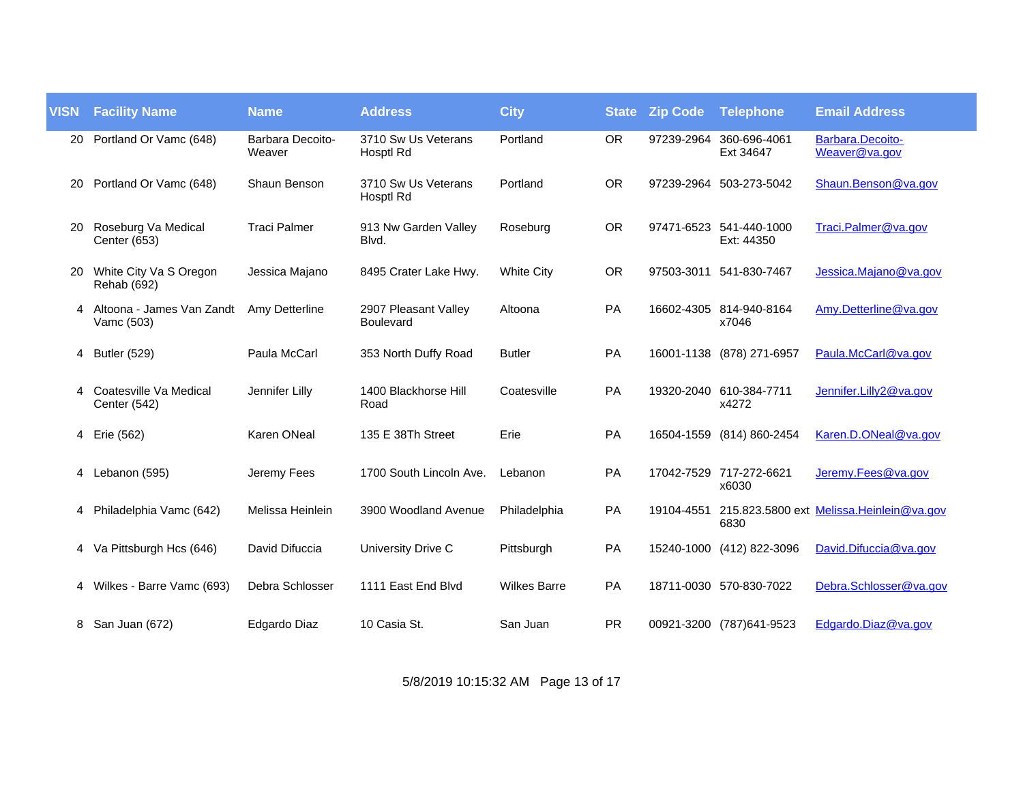| <b>VISN</b> | <b>Facility Name</b>                    | <b>Name</b>                | <b>Address</b>                           | <b>City</b>         | <b>State</b> | <b>Zip Code</b> | <b>Telephone</b>                      | <b>Email Address</b>                      |
|-------------|-----------------------------------------|----------------------------|------------------------------------------|---------------------|--------------|-----------------|---------------------------------------|-------------------------------------------|
| 20          | Portland Or Vamc (648)                  | Barbara Decoito-<br>Weaver | 3710 Sw Us Veterans<br>Hosptl Rd         | Portland            | <b>OR</b>    | 97239-2964      | 360-696-4061<br>Ext 34647             | Barbara.Decoito-<br>Weaver@va.gov         |
| 20          | Portland Or Vamc (648)                  | Shaun Benson               | 3710 Sw Us Veterans<br>Hosptl Rd         | Portland            | <b>OR</b>    |                 | 97239-2964 503-273-5042               | Shaun.Benson@va.gov                       |
| 20          | Roseburg Va Medical<br>Center (653)     | <b>Traci Palmer</b>        | 913 Nw Garden Valley<br>Blvd.            | Roseburg            | <b>OR</b>    |                 | 97471-6523 541-440-1000<br>Ext: 44350 | Traci.Palmer@va.gov                       |
| 20          | White City Va S Oregon<br>Rehab (692)   | Jessica Majano             | 8495 Crater Lake Hwy.                    | <b>White City</b>   | <b>OR</b>    | 97503-3011      | 541-830-7467                          | Jessica.Majano@va.gov                     |
| 4           | Altoona - James Van Zandt<br>Vamc (503) | Amy Detterline             | 2907 Pleasant Valley<br><b>Boulevard</b> | Altoona             | <b>PA</b>    |                 | 16602-4305 814-940-8164<br>x7046      | Amy.Detterline@va.gov                     |
| 4           | <b>Butler (529)</b>                     | Paula McCarl               | 353 North Duffy Road                     | <b>Butler</b>       | PA           |                 | 16001-1138 (878) 271-6957             | Paula.McCarl@va.gov                       |
|             | Coatesville Va Medical<br>Center (542)  | Jennifer Lilly             | 1400 Blackhorse Hill<br>Road             | Coatesville         | PA           |                 | 19320-2040 610-384-7711<br>x4272      | Jennifer.Lilly2@va.gov                    |
| 4           | Erie (562)                              | Karen ONeal                | 135 E 38Th Street                        | Erie                | PA           | 16504-1559      | (814) 860-2454                        | Karen.D.ONeal@va.gov                      |
| 4           | Lebanon (595)                           | Jeremy Fees                | 1700 South Lincoln Ave.                  | Lebanon             | PA           |                 | 17042-7529 717-272-6621<br>x6030      | Jeremy.Fees@va.gov                        |
| 4           | Philadelphia Vamc (642)                 | Melissa Heinlein           | 3900 Woodland Avenue                     | Philadelphia        | PA           | 19104-4551      | 6830                                  | 215.823.5800 ext Melissa. Heinlein@va.gov |
| 4           | Va Pittsburgh Hcs (646)                 | David Difuccia             | University Drive C                       | Pittsburgh          | PA           | 15240-1000      | (412) 822-3096                        | David.Difuccia@va.gov                     |
| 4           | Wilkes - Barre Vamc (693)               | Debra Schlosser            | 1111 East End Blvd                       | <b>Wilkes Barre</b> | PA           |                 | 18711-0030 570-830-7022               | Debra.Schlosser@va.gov                    |
| 8           | San Juan (672)                          | Edgardo Diaz               | 10 Casia St.                             | San Juan            | <b>PR</b>    |                 | 00921-3200 (787)641-9523              | Edgardo.Diaz@va.gov                       |

5/8/2019 10:15:32 AM Page 13 of 17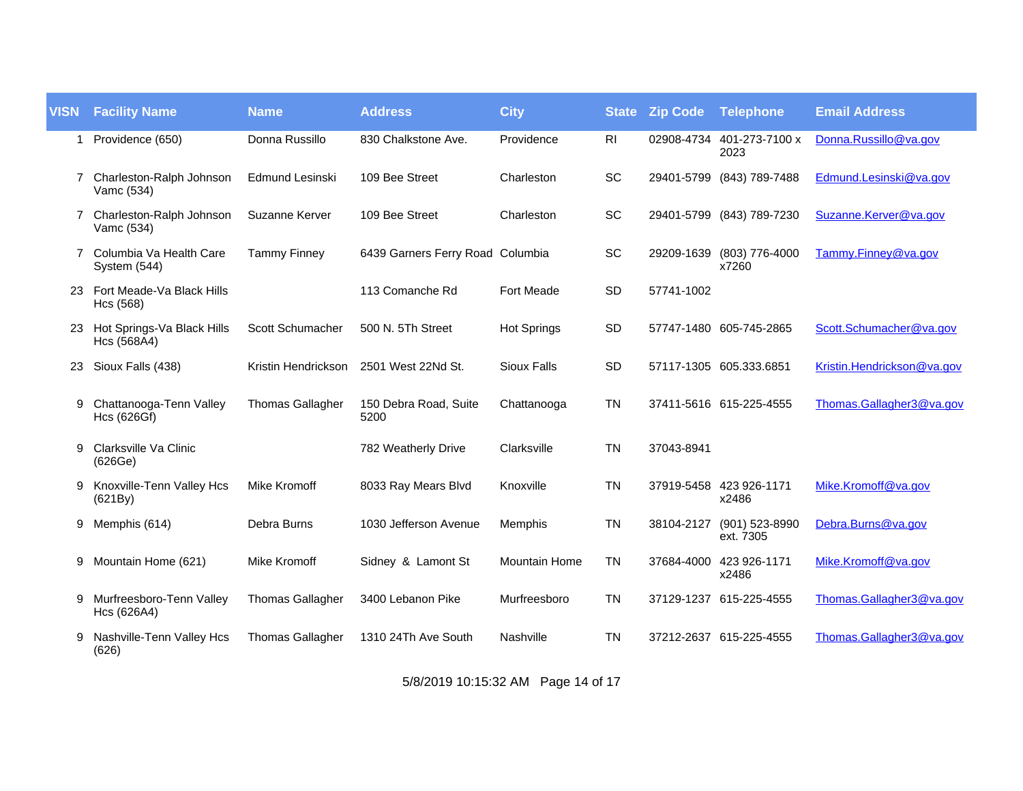| <b>VISN</b> | <b>Facility Name</b>                      | <b>Name</b>             | <b>Address</b>                   | <b>City</b>          | <b>State</b>   | <b>Zip Code</b> | <b>Telephone</b>                 | <b>Email Address</b>       |
|-------------|-------------------------------------------|-------------------------|----------------------------------|----------------------|----------------|-----------------|----------------------------------|----------------------------|
| 1           | Providence (650)                          | Donna Russillo          | 830 Chalkstone Ave.              | Providence           | R <sub>l</sub> | 02908-4734      | 401-273-7100 x<br>2023           | Donna.Russillo@va.gov      |
| 7           | Charleston-Ralph Johnson<br>Vamc (534)    | <b>Edmund Lesinski</b>  | 109 Bee Street                   | Charleston           | SC             | 29401-5799      | (843) 789-7488                   | Edmund.Lesinski@va.gov     |
| 7           | Charleston-Ralph Johnson<br>Vamc (534)    | Suzanne Kerver          | 109 Bee Street                   | Charleston           | SC             |                 | 29401-5799 (843) 789-7230        | Suzanne.Kerver@va.gov      |
| 7           | Columbia Va Health Care<br>System (544)   | <b>Tammy Finney</b>     | 6439 Garners Ferry Road Columbia |                      | SC             | 29209-1639      | (803) 776-4000<br>x7260          | Tammy.Finney@va.gov        |
| 23.         | Fort Meade-Va Black Hills<br>Hcs (568)    |                         | 113 Comanche Rd                  | <b>Fort Meade</b>    | <b>SD</b>      | 57741-1002      |                                  |                            |
| 23.         | Hot Springs-Va Black Hills<br>Hcs (568A4) | Scott Schumacher        | 500 N. 5Th Street                | <b>Hot Springs</b>   | SD             |                 | 57747-1480 605-745-2865          | Scott.Schumacher@va.gov    |
| 23          | Sioux Falls (438)                         | Kristin Hendrickson     | 2501 West 22Nd St.               | <b>Sioux Falls</b>   | SD             |                 | 57117-1305 605.333.6851          | Kristin.Hendrickson@va.gov |
| 9           | Chattanooga-Tenn Valley<br>Hcs (626Gf)    | <b>Thomas Gallagher</b> | 150 Debra Road, Suite<br>5200    | Chattanooga          | <b>TN</b>      |                 | 37411-5616 615-225-4555          | Thomas.Gallagher3@va.gov   |
| 9           | Clarksville Va Clinic<br>(626Ge)          |                         | 782 Weatherly Drive              | Clarksville          | <b>TN</b>      | 37043-8941      |                                  |                            |
| 9           | Knoxville-Tenn Valley Hcs<br>(621By)      | <b>Mike Kromoff</b>     | 8033 Ray Mears Blvd              | Knoxville            | <b>TN</b>      |                 | 37919-5458 423 926-1171<br>x2486 | Mike.Kromoff@va.gov        |
| 9           | Memphis (614)                             | Debra Burns             | 1030 Jefferson Avenue            | Memphis              | <b>TN</b>      | 38104-2127      | (901) 523-8990<br>ext. 7305      | Debra.Burns@va.gov         |
| 9           | Mountain Home (621)                       | <b>Mike Kromoff</b>     | Sidney & Lamont St               | <b>Mountain Home</b> | <b>TN</b>      | 37684-4000      | 423 926-1171<br>x2486            | Mike.Kromoff@va.gov        |
| 9           | Murfreesboro-Tenn Valley<br>Hcs (626A4)   | <b>Thomas Gallagher</b> | 3400 Lebanon Pike                | Murfreesboro         | <b>TN</b>      |                 | 37129-1237 615-225-4555          | Thomas.Gallagher3@va.gov   |
| 9           | Nashville-Tenn Valley Hcs<br>(626)        | <b>Thomas Gallagher</b> | 1310 24Th Ave South              | Nashville            | <b>TN</b>      |                 | 37212-2637 615-225-4555          | Thomas.Gallagher3@va.gov   |

5/8/2019 10:15:32 AM Page 14 of 17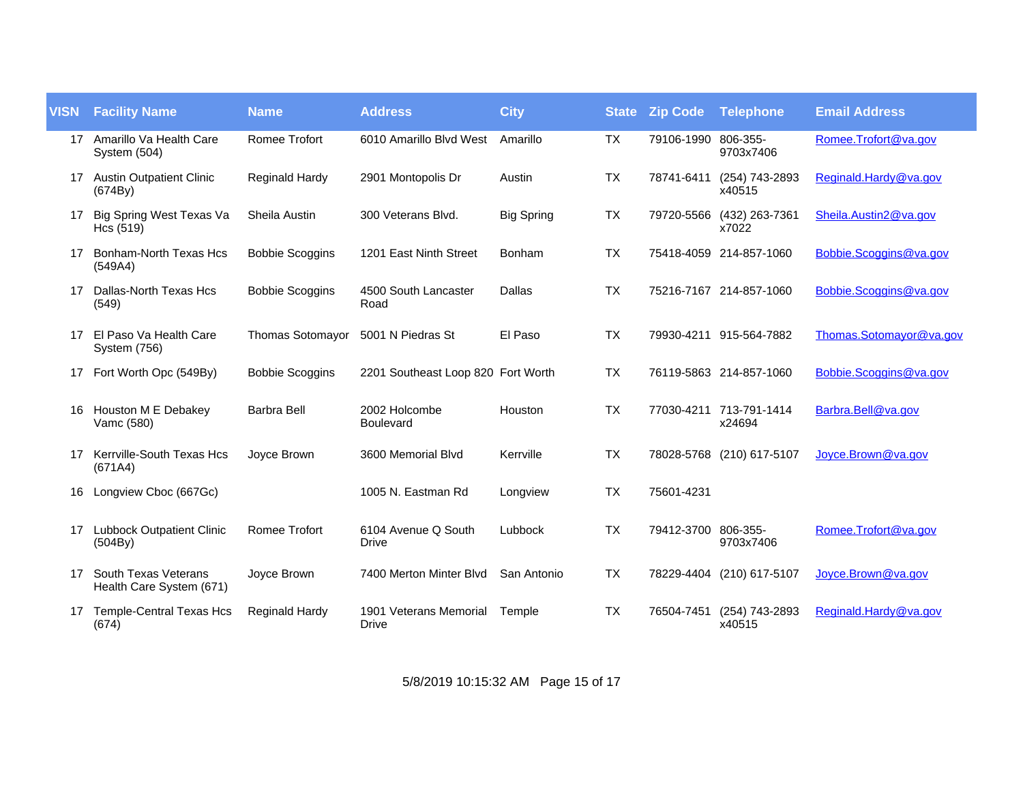| <b>VISN</b> | <b>Facility Name</b>                             | <b>Name</b>            | <b>Address</b>                         | <b>City</b>       | <b>State</b> | <b>Zip Code Telephone</b> |                           | <b>Email Address</b>    |
|-------------|--------------------------------------------------|------------------------|----------------------------------------|-------------------|--------------|---------------------------|---------------------------|-------------------------|
|             | 17 Amarillo Va Health Care<br>System (504)       | <b>Romee Trofort</b>   | 6010 Amarillo Blvd West                | Amarillo          | <b>TX</b>    | 79106-1990 806-355-       | 9703x7406                 | Romee.Trofort@va.gov    |
|             | 17 Austin Outpatient Clinic<br>(674By)           | <b>Reginald Hardy</b>  | 2901 Montopolis Dr                     | Austin            | TX           | 78741-6411                | (254) 743-2893<br>x40515  | Reginald.Hardy@va.gov   |
| 17          | Big Spring West Texas Va<br>Hcs $(519)$          | Sheila Austin          | 300 Veterans Blvd.                     | <b>Big Spring</b> | <b>TX</b>    | 79720-5566                | (432) 263-7361<br>x7022   | Sheila.Austin2@va.gov   |
| 17          | Bonham-North Texas Hcs<br>(549A4)                | <b>Bobbie Scoggins</b> | 1201 East Ninth Street                 | <b>Bonham</b>     | <b>TX</b>    |                           | 75418-4059 214-857-1060   | Bobbie.Scoggins@va.gov  |
| 17          | Dallas-North Texas Hcs<br>(549)                  | <b>Bobbie Scoggins</b> | 4500 South Lancaster<br>Road           | Dallas            | <b>TX</b>    |                           | 75216-7167 214-857-1060   | Bobbie.Scoggins@va.gov  |
| 17          | El Paso Va Health Care<br>System (756)           | Thomas Sotomayor       | 5001 N Piedras St                      | El Paso           | <b>TX</b>    |                           | 79930-4211 915-564-7882   | Thomas.Sotomayor@va.gov |
| 17          | Fort Worth Opc (549By)                           | <b>Bobbie Scoggins</b> | 2201 Southeast Loop 820 Fort Worth     |                   | TX           |                           | 76119-5863 214-857-1060   | Bobbie.Scoggins@va.gov  |
| 16          | Houston M E Debakey<br>Vamc (580)                | <b>Barbra Bell</b>     | 2002 Holcombe<br><b>Boulevard</b>      | Houston           | <b>TX</b>    | 77030-4211                | 713-791-1414<br>x24694    | Barbra.Bell@va.gov      |
| 17          | Kerrville-South Texas Hcs<br>(671A4)             | Joyce Brown            | 3600 Memorial Blvd                     | Kerrville         | <b>TX</b>    |                           | 78028-5768 (210) 617-5107 | Joyce.Brown@va.gov      |
| 16          | Longview Cboc (667Gc)                            |                        | 1005 N. Eastman Rd                     | Longview          | <b>TX</b>    | 75601-4231                |                           |                         |
| 17          | <b>Lubbock Outpatient Clinic</b><br>(504By)      | Romee Trofort          | 6104 Avenue Q South<br>Drive           | Lubbock           | <b>TX</b>    | 79412-3700 806-355-       | 9703x7406                 | Romee.Trofort@va.gov    |
| 17          | South Texas Veterans<br>Health Care System (671) | Joyce Brown            | 7400 Merton Minter Blvd                | San Antonio       | <b>TX</b>    | 78229-4404                | (210) 617-5107            | Joyce.Brown@va.gov      |
| 17          | <b>Temple-Central Texas Hcs</b><br>(674)         | Reginald Hardy         | 1901 Veterans Memorial<br><b>Drive</b> | Temple            | <b>TX</b>    | 76504-7451                | (254) 743-2893<br>x40515  | Reginald.Hardy@va.gov   |

5/8/2019 10:15:32 AM Page 15 of 17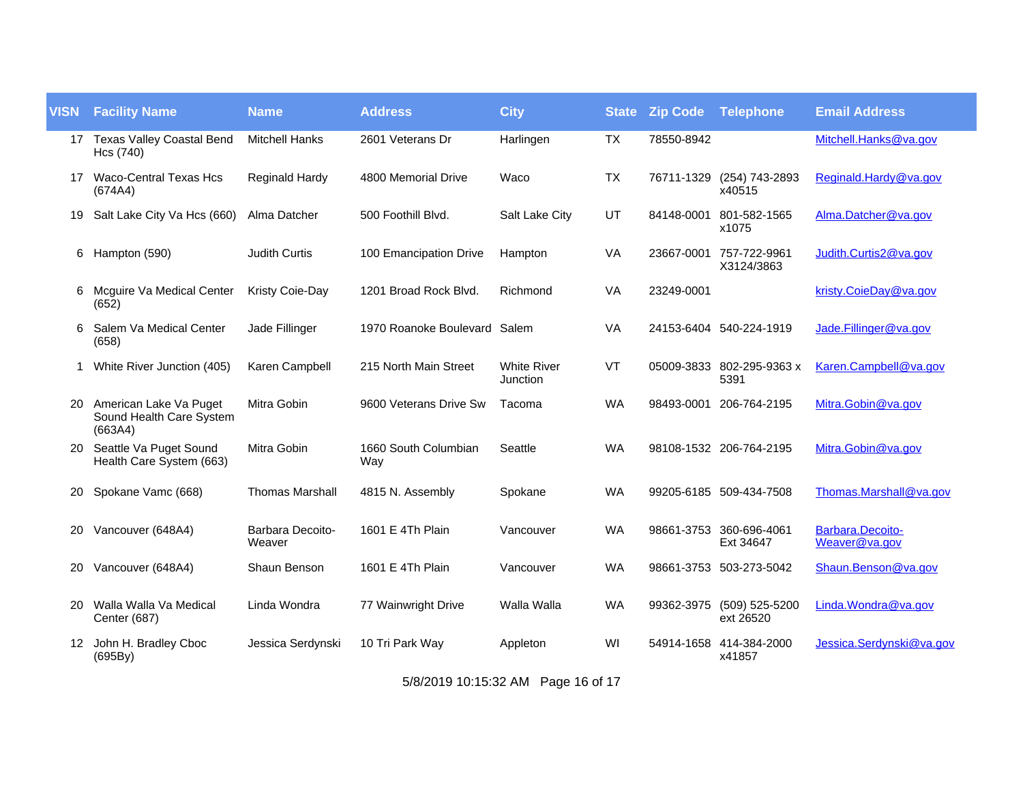| <b>VISN</b> | <b>Facility Name</b>                                          | <b>Name</b>                | <b>Address</b>               | <b>City</b>                    | <b>State</b> | <b>Zip Code</b> | Telephone                              | <b>Email Address</b>              |
|-------------|---------------------------------------------------------------|----------------------------|------------------------------|--------------------------------|--------------|-----------------|----------------------------------------|-----------------------------------|
|             | 17 Texas Valley Coastal Bend<br>Hcs (740)                     | <b>Mitchell Hanks</b>      | 2601 Veterans Dr             | Harlingen                      | <b>TX</b>    | 78550-8942      |                                        | Mitchell.Hanks@va.gov             |
| 17          | Waco-Central Texas Hcs<br>(674A4)                             | Reginald Hardy             | 4800 Memorial Drive          | Waco                           | <b>TX</b>    | 76711-1329      | (254) 743-2893<br>x40515               | Reginald.Hardy@va.gov             |
| 19          | Salt Lake City Va Hcs (660)                                   | Alma Datcher               | 500 Foothill Blvd.           | Salt Lake City                 | UT           | 84148-0001      | 801-582-1565<br>x1075                  | Alma.Datcher@va.gov               |
| 6           | Hampton (590)                                                 | <b>Judith Curtis</b>       | 100 Emancipation Drive       | Hampton                        | VA           | 23667-0001      | 757-722-9961<br>X3124/3863             | Judith.Curtis2@va.gov             |
| 6           | Mcguire Va Medical Center<br>(652)                            | Kristy Coie-Day            | 1201 Broad Rock Blvd.        | Richmond                       | VA           | 23249-0001      |                                        | kristy.CoieDay@va.gov             |
|             | Salem Va Medical Center<br>(658)                              | Jade Fillinger             | 1970 Roanoke Boulevard Salem |                                | <b>VA</b>    |                 | 24153-6404 540-224-1919                | Jade.Fillinger@va.gov             |
| 1           | White River Junction (405)                                    | Karen Campbell             | 215 North Main Street        | <b>White River</b><br>Junction | VT           |                 | 05009-3833 802-295-9363 x<br>5391      | Karen.Campbell@va.gov             |
| 20          | American Lake Va Puget<br>Sound Health Care System<br>(663A4) | Mitra Gobin                | 9600 Veterans Drive Sw       | Tacoma                         | <b>WA</b>    | 98493-0001      | 206-764-2195                           | Mitra.Gobin@va.gov                |
| 20          | Seattle Va Puget Sound<br>Health Care System (663)            | Mitra Gobin                | 1660 South Columbian<br>Way  | Seattle                        | <b>WA</b>    |                 | 98108-1532 206-764-2195                | Mitra.Gobin@va.gov                |
| 20          | Spokane Vamc (668)                                            | <b>Thomas Marshall</b>     | 4815 N. Assembly             | Spokane                        | <b>WA</b>    |                 | 99205-6185 509-434-7508                | Thomas.Marshall@va.gov            |
| 20          | Vancouver (648A4)                                             | Barbara Decoito-<br>Weaver | 1601 E 4Th Plain             | Vancouver                      | <b>WA</b>    |                 | 98661-3753 360-696-4061<br>Ext 34647   | Barbara.Decoito-<br>Weaver@va.gov |
| 20          | Vancouver (648A4)                                             | Shaun Benson               | 1601 E 4Th Plain             | Vancouver                      | <b>WA</b>    |                 | 98661-3753 503-273-5042                | Shaun.Benson@va.gov               |
| 20          | Walla Walla Va Medical<br><b>Center (687)</b>                 | Linda Wondra               | 77 Wainwright Drive          | Walla Walla                    | <b>WA</b>    |                 | 99362-3975 (509) 525-5200<br>ext 26520 | Linda. Wondra@va.gov              |
| 12.         | John H. Bradley Cboc<br>(695By)                               | Jessica Serdynski          | 10 Tri Park Way              | Appleton                       | WI           |                 | 54914-1658 414-384-2000<br>x41857      | Jessica.Serdynski@va.gov          |

5/8/2019 10:15:32 AM Page 16 of 17